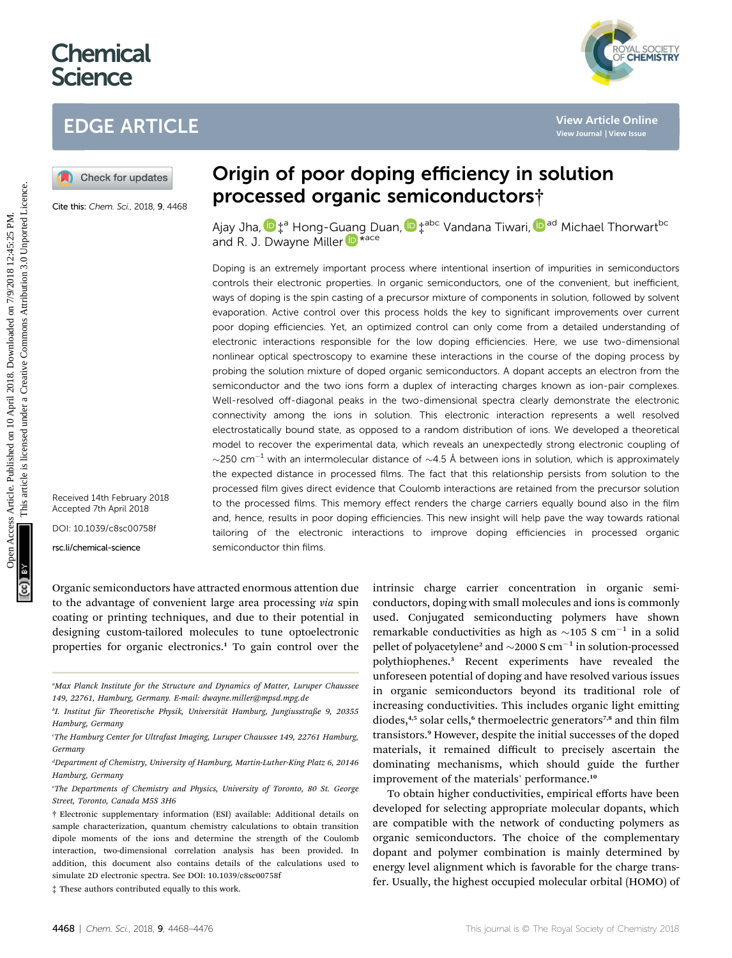# **Chemical Science**

# EDGE ARTICLE

Cite this: Chem. Sci., 2018, 9, 4468

Origin of poor doping efficiency in solution processed organic semiconductors†

Ajay Jha[,](http://orcid.org/0000-0002-6865-1649)  $\mathbf{D}^{\text{ta}}_{\perp}$  Hong-Guang Duan,  $\mathbf{D}^{\text{tabc}}_{\perp}$  Vandana Tiwari,  $\mathbf{D}^{\text{ad}}$  Michael Thorwart<sup>bc</sup> and R. J. Dwayne Mille[r](http://orcid.org/0000-0003-0884-0541) **D** \*ace

Doping is an extremely important process where intentional insertion of impurities in semiconductors controls their electronic properties. In organic semiconductors, one of the convenient, but inefficient, ways of doping is the spin casting of a precursor mixture of components in solution, followed by solvent evaporation. Active control over this process holds the key to significant improvements over current poor doping efficiencies. Yet, an optimized control can only come from a detailed understanding of electronic interactions responsible for the low doping efficiencies. Here, we use two-dimensional nonlinear optical spectroscopy to examine these interactions in the course of the doping process by probing the solution mixture of doped organic semiconductors. A dopant accepts an electron from the semiconductor and the two ions form a duplex of interacting charges known as ion-pair complexes. Well-resolved off-diagonal peaks in the two-dimensional spectra clearly demonstrate the electronic connectivity among the ions in solution. This electronic interaction represents a well resolved electrostatically bound state, as opposed to a random distribution of ions. We developed a theoretical model to recover the experimental data, which reveals an unexpectedly strong electronic coupling of  $\sim$ 250 cm<sup>-1</sup> with an intermolecular distance of  $\sim$ 4.5 Å between ions in solution, which is approximately the expected distance in processed films. The fact that this relationship persists from solution to the processed film gives direct evidence that Coulomb interactions are retained from the precursor solution to the processed films. This memory effect renders the charge carriers equally bound also in the film and, hence, results in poor doping efficiencies. This new insight will help pave the way towards rational tailoring of the electronic interactions to improve doping efficiencies in processed organic semiconductor thin films. **EDGE ARTICLE**<br> **(a)** Check for updates **Circle 2**<br> **Contex Consults 2**<br> **Consults 2**<br> **Consults 2**<br> **Consults 2**<br> **Consults 2**<br> **Consults 2**<br> **Consults 2**<br> **Consults 2**<br> **Consults 2**<br> **Consults 2**<br> **Consults 2**<br> **Consult** 

Received 14th February 2018 Accepted 7th April 2018 DOI: 10.1039/c8sc00758f

rsc.li/chemical-science

Organic semiconductors have attracted enormous attention due to the advantage of convenient large area processing via spin coating or printing techniques, and due to their potential in designing custom-tailored molecules to tune optoelectronic properties for organic electronics.<sup>1</sup> To gain control over the intrinsic charge carrier concentration in organic semiconductors, doping with small molecules and ions is commonly used. Conjugated semiconducting polymers have shown remarkable conductivities as high as  $\sim$ 105 S cm<sup>-1</sup> in a solid pellet of polyacetylene<sup>2</sup> and  $\sim$  2000 S cm<sup>-1</sup> in solution-processed polythiophenes.<sup>3</sup> Recent experiments have revealed the unforeseen potential of doping and have resolved various issues in organic semiconductors beyond its traditional role of increasing conductivities. This includes organic light emitting diodes, $4,5$  solar cells, $6$  thermoelectric generators<sup>7,8</sup> and thin film transistors.<sup>9</sup> However, despite the initial successes of the doped materials, it remained difficult to precisely ascertain the dominating mechanisms, which should guide the further improvement of the materials' performance.<sup>10</sup>

To obtain higher conductivities, empirical efforts have been developed for selecting appropriate molecular dopants, which are compatible with the network of conducting polymers as organic semiconductors. The choice of the complementary dopant and polymer combination is mainly determined by energy level alignment which is favorable for the charge transfer. Usually, the highest occupied molecular orbital (HOMO) of



a Max Planck Institute for the Structure and Dynamics of Matter, Luruper Chaussee 149, 22761, Hamburg, Germany. E-mail: dwayne.miller@mpsd.mpg.de

<sup>&</sup>lt;sup>b</sup>I. Institut für Theoretische Physik, Universität Hamburg, Jungiusstraße 9, 20355 Hamburg, Germany

c The Hamburg Center for Ultrafast Imaging, Luruper Chaussee 149, 22761 Hamburg, Germany

d Department of Chemistry, University of Hamburg, Martin-Luther-King Platz 6, 20146 Hamburg, Germany

e The Departments of Chemistry and Physics, University of Toronto, 80 St. George Street, Toronto, Canada M5S 3H6

<sup>†</sup> Electronic supplementary information (ESI) available: Additional details on sample characterization, quantum chemistry calculations to obtain transition dipole moments of the ions and determine the strength of the Coulomb interaction, two-dimensional correlation analysis has been provided. In addition, this document also contains details of the calculations used to simulate 2D electronic spectra. See DOI: 10.1039/c8sc00758f

<sup>‡</sup> These authors contributed equally to this work.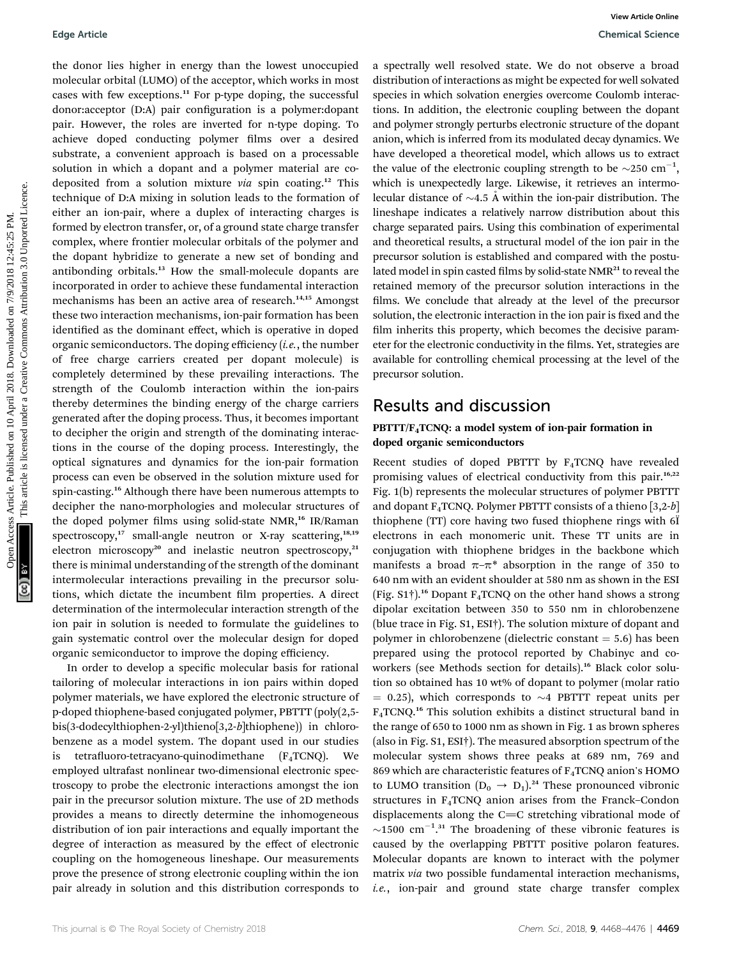the donor lies higher in energy than the lowest unoccupied molecular orbital (LUMO) of the acceptor, which works in most

cases with few exceptions.<sup>11</sup> For p-type doping, the successful donor: acceptor (D:A) pair configuration is a polymer: dopant pair. However, the roles are inverted for n-type doping. To achieve doped conducting polymer films over a desired substrate, a convenient approach is based on a processable solution in which a dopant and a polymer material are codeposited from a solution mixture via spin coating.<sup>12</sup> This technique of D:A mixing in solution leads to the formation of either an ion-pair, where a duplex of interacting charges is formed by electron transfer, or, of a ground state charge transfer complex, where frontier molecular orbitals of the polymer and the dopant hybridize to generate a new set of bonding and antibonding orbitals.<sup>13</sup> How the small-molecule dopants are incorporated in order to achieve these fundamental interaction mechanisms has been an active area of research.<sup>14,15</sup> Amongst these two interaction mechanisms, ion-pair formation has been identified as the dominant effect, which is operative in doped organic semiconductors. The doping efficiency  $(i.e.,$  the number of free charge carriers created per dopant molecule) is completely determined by these prevailing interactions. The strength of the Coulomb interaction within the ion-pairs thereby determines the binding energy of the charge carriers generated after the doping process. Thus, it becomes important to decipher the origin and strength of the dominating interactions in the course of the doping process. Interestingly, the optical signatures and dynamics for the ion-pair formation process can even be observed in the solution mixture used for spin-casting.<sup>16</sup> Although there have been numerous attempts to decipher the nano-morphologies and molecular structures of the doped polymer films using solid-state NMR,<sup>16</sup> IR/Raman spectroscopy, $17$  small-angle neutron or X-ray scattering, $18,19$ electron microscopy<sup>20</sup> and inelastic neutron spectroscopy,<sup>21</sup> there is minimal understanding of the strength of the dominant intermolecular interactions prevailing in the precursor solutions, which dictate the incumbent film properties. A direct determination of the intermolecular interaction strength of the ion pair in solution is needed to formulate the guidelines to gain systematic control over the molecular design for doped organic semiconductor to improve the doping efficiency. In order to develop a specific molecular basis for rational tailoring of molecular interactions in ion pairs within doped polymer materials, we have explored the electronic structure of Equision this higher in energy than the bosts are accepted of necessarily well resolved on the solution of the comparison of the comparison of the comparison of the comparison of the comparison of the comparison of the co

p-doped thiophene-based conjugated polymer, PBTTT (poly(2,5 bis(3-dodecylthiophen-2-yl)thieno[3,2-b]thiophene)) in chlorobenzene as a model system. The dopant used in our studies is tetrafluoro-tetracyano-quinodimethane  $(F_4TCNQ)$ . We employed ultrafast nonlinear two-dimensional electronic spectroscopy to probe the electronic interactions amongst the ion pair in the precursor solution mixture. The use of 2D methods provides a means to directly determine the inhomogeneous distribution of ion pair interactions and equally important the degree of interaction as measured by the effect of electronic coupling on the homogeneous lineshape. Our measurements prove the presence of strong electronic coupling within the ion pair already in solution and this distribution corresponds to

a spectrally well resolved state. We do not observe a broad distribution of interactions as might be expected for well solvated species in which solvation energies overcome Coulomb interactions. In addition, the electronic coupling between the dopant and polymer strongly perturbs electronic structure of the dopant anion, which is inferred from its modulated decay dynamics. We have developed a theoretical model, which allows us to extract the value of the electronic coupling strength to be  $\sim$ 250 cm<sup>-1</sup>, which is unexpectedly large. Likewise, it retrieves an intermolecular distance of  $\sim$ 4.5 Å within the ion-pair distribution. The lineshape indicates a relatively narrow distribution about this charge separated pairs. Using this combination of experimental and theoretical results, a structural model of the ion pair in the precursor solution is established and compared with the postulated model in spin casted films by solid-state NMR<sup>21</sup> to reveal the retained memory of the precursor solution interactions in the films. We conclude that already at the level of the precursor solution, the electronic interaction in the ion pair is fixed and the film inherits this property, which becomes the decisive parameter for the electronic conductivity in the films. Yet, strategies are available for controlling chemical processing at the level of the precursor solution.

## Results and discussion

## $PBTTT/F<sub>4</sub>TCNO: a model system of ion-pair formation in$ doped organic semiconductors

Recent studies of doped PBTTT by  $F_4TCNQ$  have revealed promising values of electrical conductivity from this pair.<sup>16,22</sup> Fig. 1(b) represents the molecular structures of polymer PBTTT and dopant  $F_4TCNQ$ . Polymer PBTTT consists of a thieno [3,2-b] thiophene (TT) core having two fused thiophene rings with 6Ï electrons in each monomeric unit. These TT units are in conjugation with thiophene bridges in the backbone which manifests a broad  $\pi-\pi^*$  absorption in the range of 350 to 640 nm with an evident shoulder at 580 nm as shown in the ESI (Fig.  $S1^{\dagger}$ ).<sup>16</sup> Dopant F<sub>4</sub>TCNQ on the other hand shows a strong dipolar excitation between 350 to 550 nm in chlorobenzene (blue trace in Fig. S1, ESI†). The solution mixture of dopant and polymer in chlorobenzene (dielectric constant  $= 5.6$ ) has been prepared using the protocol reported by Chabinyc and coworkers (see Methods section for details).<sup>16</sup> Black color solution so obtained has 10 wt% of dopant to polymer (molar ratio  $= 0.25$ ), which corresponds to  $\sim$ 4 PBTTT repeat units per F4TCNQ.<sup>16</sup> This solution exhibits a distinct structural band in the range of 650 to 1000 nm as shown in Fig. 1 as brown spheres (also in Fig. S1, ESI†). The measured absorption spectrum of the molecular system shows three peaks at 689 nm, 769 and 869 which are characteristic features of  $F_4TCNQ$  anion's HOMO to LUMO transition  $(D_0 \rightarrow D_1)^{24}$  These pronounced vibronic structures in  $F_4TCNQ$  anion arises from the Franck–Condon displacements along the  $C=C$  stretching vibrational mode of  $\sim$ 1500 cm<sup>-1</sup>.<sup>31</sup> The broadening of these vibronic features is caused by the overlapping PBTTT positive polaron features. Molecular dopants are known to interact with the polymer matrix via two possible fundamental interaction mechanisms, i.e., ion-pair and ground state charge transfer complex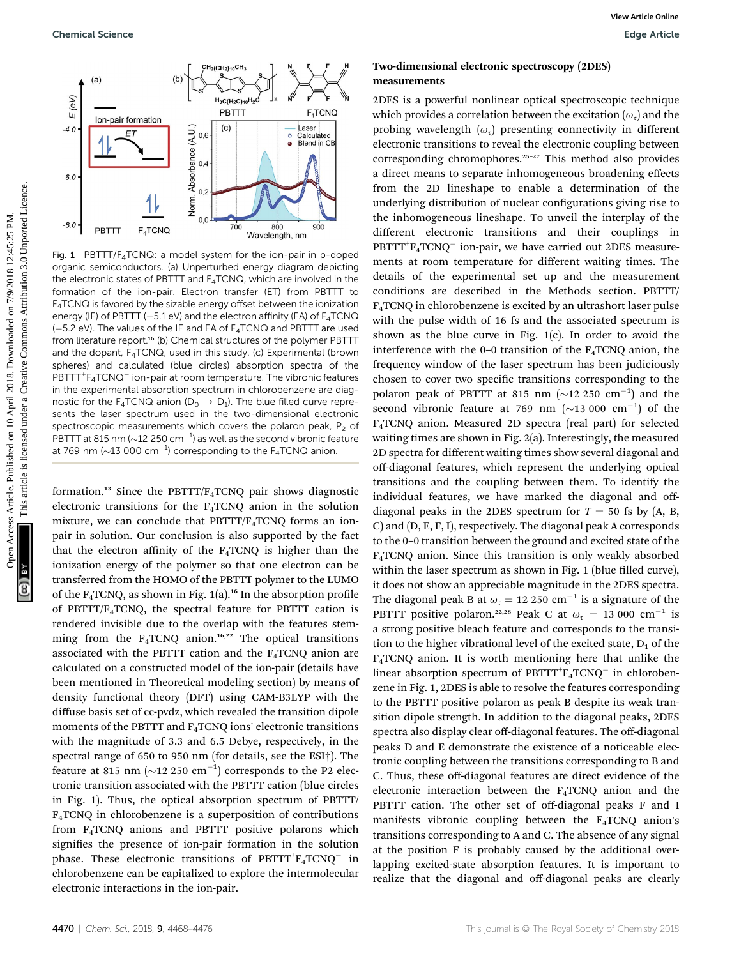

Fig. 1 PBTTT/F4TCNQ: a model system for the ion-pair in p-doped organic semiconductors. (a) Unperturbed energy diagram depicting the electronic states of PBTTT and  $F_4TCNQ$ , which are involved in the formation of the ion-pair. Electron transfer (ET) from PBTTT to F4TCNQ is favored by the sizable energy offset between the ionization energy (IE) of PBTTT ( $-5.1$  eV) and the electron affinity (EA) of  $F_4$ TCNQ  $(-5.2 \text{ eV})$ . The values of the IE and EA of  $F_4$ TCNQ and PBTTT are used from literature report.<sup>16</sup> (b) Chemical structures of the polymer PBTTT and the dopant,  $F_4TCNQ$ , used in this study. (c) Experimental (brown spheres) and calculated (blue circles) absorption spectra of the PBTTT<sup>+</sup>F<sub>4</sub>TCNQ<sup>-</sup> ion-pair at room temperature. The vibronic features in the experimental absorption spectrum in chlorobenzene are diagnostic for the F<sub>4</sub>TCNQ anion ( $D_0 \rightarrow D_1$ ). The blue filled curve represents the laser spectrum used in the two-dimensional electronic spectroscopic measurements which covers the polaron peak,  $P_2$  of PBTTT at 815 nm ( $\sim$ 12 250 cm<sup>-1</sup>) as well as the second vibronic feature at 769 nm ( $\sim$ 13 000 cm $^{-1}$ ) corresponding to the F<sub>4</sub>TCNQ anion.

formation.<sup>13</sup> Since the PBTTT/ $F_4$ TCNQ pair shows diagnostic electronic transitions for the F4TCNQ anion in the solution mixture, we can conclude that PBTTT/F4TCNQ forms an ionpair in solution. Our conclusion is also supported by the fact that the electron affinity of the  $F_4TCNQ$  is higher than the ionization energy of the polymer so that one electron can be transferred from the HOMO of the PBTTT polymer to the LUMO of the  $F_4TCNQ$ , as shown in Fig. 1(a).<sup>16</sup> In the absorption profile of PBTTT/F4TCNQ, the spectral feature for PBTTT cation is rendered invisible due to the overlap with the features stemming from the  $F_4TCNQ$  anion.<sup>16,22</sup> The optical transitions associated with the PBTTT cation and the  $F_4TCNQ$  anion are calculated on a constructed model of the ion-pair (details have been mentioned in Theoretical modeling section) by means of density functional theory (DFT) using CAM-B3LYP with the diffuse basis set of cc-pvdz, which revealed the transition dipole moments of the PBTTT and F4TCNQ ions' electronic transitions with the magnitude of 3.3 and 6.5 Debye, respectively, in the spectral range of 650 to 950 nm (for details, see the ESI†). The feature at 815 nm ( $\sim$ 12 250 cm<sup>-1</sup>) corresponds to the P2 electronic transition associated with the PBTTT cation (blue circles in Fig. 1). Thus, the optical absorption spectrum of PBTTT/ F4TCNQ in chlorobenzene is a superposition of contributions from F4TCNQ anions and PBTTT positive polarons which signifies the presence of ion-pair formation in the solution phase. These electronic transitions of  $PBTTT^{\dagger}F_{4}TCNQ^{-}$  in chlorobenzene can be capitalized to explore the intermolecular electronic interactions in the ion-pair.

## Two-dimensional electronic spectroscopy (2DES) measurements

2DES is a powerful nonlinear optical spectroscopic technique which provides a correlation between the excitation  $(\omega_{\tau})$  and the probing wavelength  $(\omega_{\tau})$  presenting connectivity in different electronic transitions to reveal the electronic coupling between corresponding chromophores.<sup>25-27</sup> This method also provides a direct means to separate inhomogeneous broadening effects from the 2D lineshape to enable a determination of the underlying distribution of nuclear configurations giving rise to the inhomogeneous lineshape. To unveil the interplay of the different electronic transitions and their couplings in PBTTT<sup>+</sup>F<sub>4</sub>TCNQ<sup>-</sup> ion-pair, we have carried out 2DES measurements at room temperature for different waiting times. The details of the experimental set up and the measurement conditions are described in the Methods section. PBTTT/ F4TCNQ in chlorobenzene is excited by an ultrashort laser pulse with the pulse width of 16 fs and the associated spectrum is shown as the blue curve in Fig. 1(c). In order to avoid the interference with the  $0-0$  transition of the  $F_4TCNQ$  anion, the frequency window of the laser spectrum has been judiciously chosen to cover two specific transitions corresponding to the polaron peak of PBTTT at 815 nm  $(\sim 12\ 250\ \text{cm}^{-1})$  and the second vibronic feature at 769 nm  $(\sim 13\ 000\ \text{cm}^{-1})$  of the F4TCNQ anion. Measured 2D spectra (real part) for selected waiting times are shown in Fig. 2(a). Interestingly, the measured 2D spectra for different waiting times show several diagonal and off-diagonal features, which represent the underlying optical transitions and the coupling between them. To identify the individual features, we have marked the diagonal and offdiagonal peaks in the 2DES spectrum for  $T = 50$  fs by (A, B, C) and (D, E, F, I), respectively. The diagonal peak A corresponds to the 0–0 transition between the ground and excited state of the F4TCNQ anion. Since this transition is only weakly absorbed within the laser spectrum as shown in Fig. 1 (blue filled curve), it does not show an appreciable magnitude in the 2DES spectra. The diagonal peak B at  $\omega_{\tau} = 12 250 \text{ cm}^{-1}$  is a signature of the PBTTT positive polaron.<sup>22,28</sup> Peak C at  $\omega_{\tau} = 13000 \text{ cm}^{-1}$  is a strong positive bleach feature and corresponds to the transition to the higher vibrational level of the excited state,  $D_1$  of the  $F_4TCNQ$  anion. It is worth mentioning here that unlike the linear absorption spectrum of  $\operatorname{PBTTT}^+{}F_4\operatorname{TCNQ}^-$  in chlorobenzene in Fig. 1, 2DES is able to resolve the features corresponding to the PBTTT positive polaron as peak B despite its weak transition dipole strength. In addition to the diagonal peaks, 2DES spectra also display clear off-diagonal features. The off-diagonal peaks D and E demonstrate the existence of a noticeable electronic coupling between the transitions corresponding to B and C. Thus, these off-diagonal features are direct evidence of the electronic interaction between the  $F_4TCNQ$  anion and the PBTTT cation. The other set of off-diagonal peaks F and I manifests vibronic coupling between the  $F_4TCNQ$  anion's transitions corresponding to A and C. The absence of any signal at the position F is probably caused by the additional overlapping excited-state absorption features. It is important to realize that the diagonal and off-diagonal peaks are clearly Openios Science<br>
Common access Article is licensed on 10 April 2018. In the specifical science of 2018. The common access are control to the common access are control to the common access are control to the common access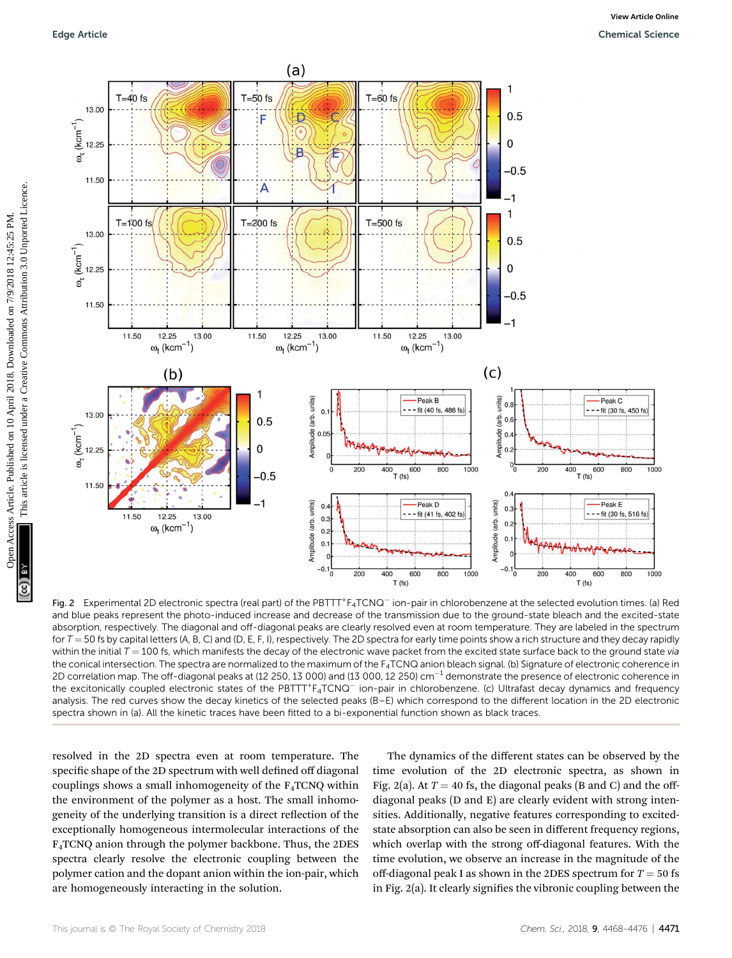

Fig. 2 Experimental 2D electronic spectra (real part) of the PBTTT+F<sub>4</sub>TCNQ<sup>-</sup> ion-pair in chlorobenzene at the selected evolution times. (a) Red and blue peaks represent the photo-induced increase and decrease of the transmission due to the ground-state bleach and the excited-state absorption, respectively. The diagonal and off-diagonal peaks are clearly resolved even at room temperature. They are labeled in the spectrum for  $T = 50$  fs by capital letters (A, B, C) and (D, E, F, I), respectively. The 2D spectra for early time points show a rich structure and they decay rapidly within the initial  $T = 100$  fs, which manifests the decay of the electronic wave packet from the excited state surface back to the ground state via the conical intersection. The spectra are normalized to the maximum of the  $F_4TCNQ$  anion bleach signal. (b) Signature of electronic coherence in 2D correlation map. The off-diagonal peaks at (12 250, 13 000) and (13 000, 12 250)  $cm^{-1}$  demonstrate the presence of electronic coherence in the excitonically coupled electronic states of the PBTTT+F<sub>4</sub>TCNQ<sup>-</sup> ion-pair in chlorobenzene. (c) Ultrafast decay dynamics and frequency analysis. The red curves show the decay kinetics of the selected peaks (B–E) which correspond to the different location in the 2D electronic spectra shown in (a). All the kinetic traces have been fitted to a bi-exponential function shown as black traces.

resolved in the 2D spectra even at room temperature. The specific shape of the 2D spectrum with well defined off diagonal couplings shows a small inhomogeneity of the  $F_4TCNQ$  within the environment of the polymer as a host. The small inhomogeneity of the underlying transition is a direct reflection of the exceptionally homogeneous intermolecular interactions of the F4TCNQ anion through the polymer backbone. Thus, the 2DES spectra clearly resolve the electronic coupling between the polymer cation and the dopant anion within the ion-pair, which are homogeneously interacting in the solution.

The dynamics of the different states can be observed by the time evolution of the 2D electronic spectra, as shown in Fig. 2(a). At  $T = 40$  fs, the diagonal peaks (B and C) and the offdiagonal peaks (D and E) are clearly evident with strong intensities. Additionally, negative features corresponding to excitedstate absorption can also be seen in different frequency regions, which overlap with the strong off-diagonal features. With the time evolution, we observe an increase in the magnitude of the off-diagonal peak I as shown in the 2DES spectrum for  $T = 50$  fs in Fig.  $2(a)$ . It clearly signifies the vibronic coupling between the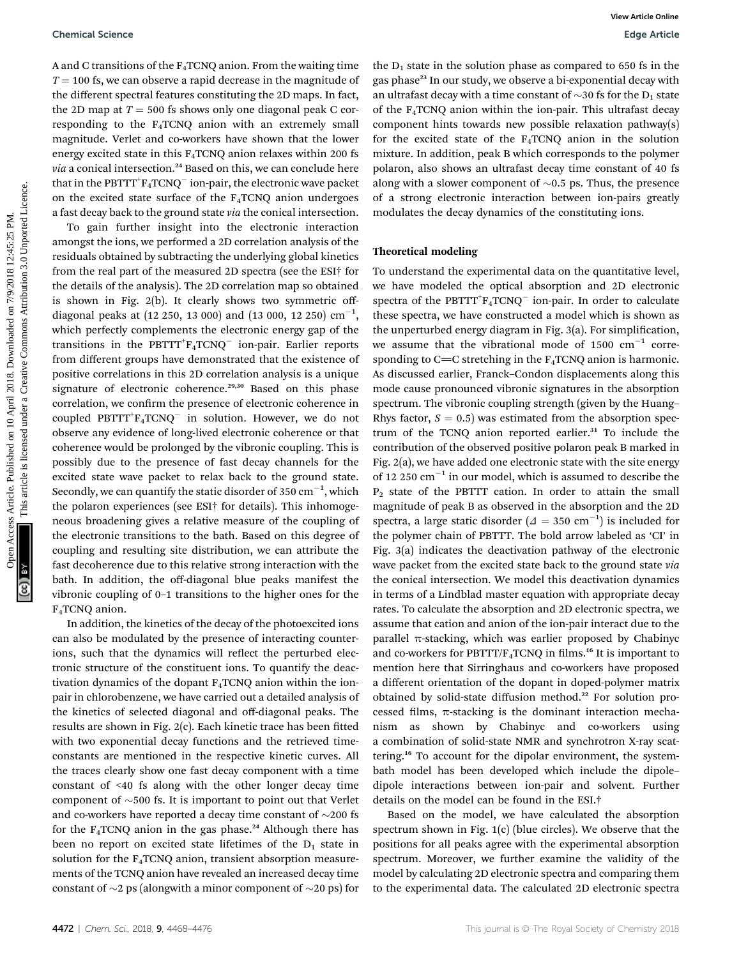A and C transitions of the  $F_4TCNQ$  anion. From the waiting time  $T = 100$  fs, we can observe a rapid decrease in the magnitude of the different spectral features constituting the 2D maps. In fact, the 2D map at  $T = 500$  fs shows only one diagonal peak C corresponding to the  $F_4TCNQ$  anion with an extremely small magnitude. Verlet and co-workers have shown that the lower energy excited state in this  $F_4TCNQ$  anion relaxes within 200 fs  $via$  a conical intersection.<sup>24</sup> Based on this, we can conclude here that in the  $\operatorname{PBTTT}^+\mathbf{F}_4\operatorname{TCNQ}^-$  ion-pair, the electronic wave packet on the excited state surface of the  $F_4TCNQ$  anion undergoes a fast decay back to the ground state via the conical intersection.

To gain further insight into the electronic interaction amongst the ions, we performed a 2D correlation analysis of the residuals obtained by subtracting the underlying global kinetics from the real part of the measured 2D spectra (see the ESI† for the details of the analysis). The 2D correlation map so obtained is shown in Fig. 2(b). It clearly shows two symmetric offdiagonal peaks at (12 250, 13 000) and (13 000, 12 250)  $\text{cm}^{-1}$ , which perfectly complements the electronic energy gap of the transitions in the  $\mathrm{PBTTT}^+\mathrm{F_4TCNQ}^-$  ion-pair. Earlier reports from different groups have demonstrated that the existence of positive correlations in this 2D correlation analysis is a unique signature of electronic coherence.<sup>29,30</sup> Based on this phase correlation, we confirm the presence of electronic coherence in coupled PBTTT<sup>+</sup>F<sub>4</sub>TCNQ<sup>-</sup> in solution. However, we do not observe any evidence of long-lived electronic coherence or that coherence would be prolonged by the vibronic coupling. This is possibly due to the presence of fast decay channels for the excited state wave packet to relax back to the ground state. Secondly, we can quantify the static disorder of 350  $\mathrm{cm}^{-1},$  which the polaron experiences (see ESI† for details). This inhomogeneous broadening gives a relative measure of the coupling of the electronic transitions to the bath. Based on this degree of coupling and resulting site distribution, we can attribute the fast decoherence due to this relative strong interaction with the bath. In addition, the off-diagonal blue peaks manifest the vibronic coupling of 0–1 transitions to the higher ones for the F4TCNQ anion. Operation Science<br>
A and C transitions of the F<sub>C</sub>CMQ axion. From the waling time the Dysolate of the analysis of the access Article is the Creative of the access Article is the access Article in the access Article is lic

In addition, the kinetics of the decay of the photoexcited ions can also be modulated by the presence of interacting counterions, such that the dynamics will reflect the perturbed electronic structure of the constituent ions. To quantify the deactivation dynamics of the dopant  $F_4TCNQ$  anion within the ionpair in chlorobenzene, we have carried out a detailed analysis of the kinetics of selected diagonal and off-diagonal peaks. The results are shown in Fig.  $2(c)$ . Each kinetic trace has been fitted with two exponential decay functions and the retrieved timeconstants are mentioned in the respective kinetic curves. All the traces clearly show one fast decay component with a time constant of <40 fs along with the other longer decay time component of  $\sim$ 500 fs. It is important to point out that Verlet and co-workers have reported a decay time constant of  $\sim$ 200 fs for the  $F_4TCNQ$  anion in the gas phase.<sup>24</sup> Although there has been no report on excited state lifetimes of the  $D_1$  state in solution for the F4TCNQ anion, transient absorption measurements of the TCNQ anion have revealed an increased decay time constant of  $\sim$ 2 ps (alongwith a minor component of  $\sim$ 20 ps) for

the  $D_1$  state in the solution phase as compared to 650 fs in the gas phase<sup>23</sup> In our study, we observe a bi-exponential decay with an ultrafast decay with a time constant of  $\sim$ 30 fs for the D<sub>1</sub> state of the F4TCNQ anion within the ion-pair. This ultrafast decay component hints towards new possible relaxation pathway(s) for the excited state of the  $F_4TCNQ$  anion in the solution mixture. In addition, peak B which corresponds to the polymer polaron, also shows an ultrafast decay time constant of 40 fs along with a slower component of  $\sim 0.5$  ps. Thus, the presence of a strong electronic interaction between ion-pairs greatly modulates the decay dynamics of the constituting ions.

### Theoretical modeling

To understand the experimental data on the quantitative level, we have modeled the optical absorption and 2D electronic spectra of the  $\text{PBTTT}^+ \text{F}_4 \text{TCNQ}^-$  ion-pair. In order to calculate these spectra, we have constructed a model which is shown as the unperturbed energy diagram in Fig.  $3(a)$ . For simplification, we assume that the vibrational mode of  $1500 \text{ cm}^{-1}$  corresponding to  $C=C$  stretching in the  $F_4TCNQ$  anion is harmonic. As discussed earlier, Franck–Condon displacements along this mode cause pronounced vibronic signatures in the absorption spectrum. The vibronic coupling strength (given by the Huang– Rhys factor,  $S = 0.5$ ) was estimated from the absorption spectrum of the TCNQ anion reported earlier.<sup>31</sup> To include the contribution of the observed positive polaron peak B marked in Fig. 2(a), we have added one electronic state with the site energy of 12 250  $\text{cm}^{-1}$  in our model, which is assumed to describe the  $P<sub>2</sub>$  state of the PBTTT cation. In order to attain the small magnitude of peak B as observed in the absorption and the 2D spectra, a large static disorder ( $\Delta = 350 \text{ cm}^{-1}$ ) is included for the polymer chain of PBTTT. The bold arrow labeled as 'CI' in Fig. 3(a) indicates the deactivation pathway of the electronic wave packet from the excited state back to the ground state via the conical intersection. We model this deactivation dynamics in terms of a Lindblad master equation with appropriate decay rates. To calculate the absorption and 2D electronic spectra, we assume that cation and anion of the ion-pair interact due to the parallel  $\pi$ -stacking, which was earlier proposed by Chabinyc and co-workers for PBTTT/ $F_4$ TCNQ in films.<sup>16</sup> It is important to mention here that Sirringhaus and co-workers have proposed a different orientation of the dopant in doped-polymer matrix obtained by solid-state diffusion method.<sup>22</sup> For solution processed films,  $\pi$ -stacking is the dominant interaction mechanism as shown by Chabinyc and co-workers using a combination of solid-state NMR and synchrotron X-ray scattering.<sup>16</sup> To account for the dipolar environment, the systembath model has been developed which include the dipole– dipole interactions between ion-pair and solvent. Further details on the model can be found in the ESI.†

Based on the model, we have calculated the absorption spectrum shown in Fig. 1(c) (blue circles). We observe that the positions for all peaks agree with the experimental absorption spectrum. Moreover, we further examine the validity of the model by calculating 2D electronic spectra and comparing them to the experimental data. The calculated 2D electronic spectra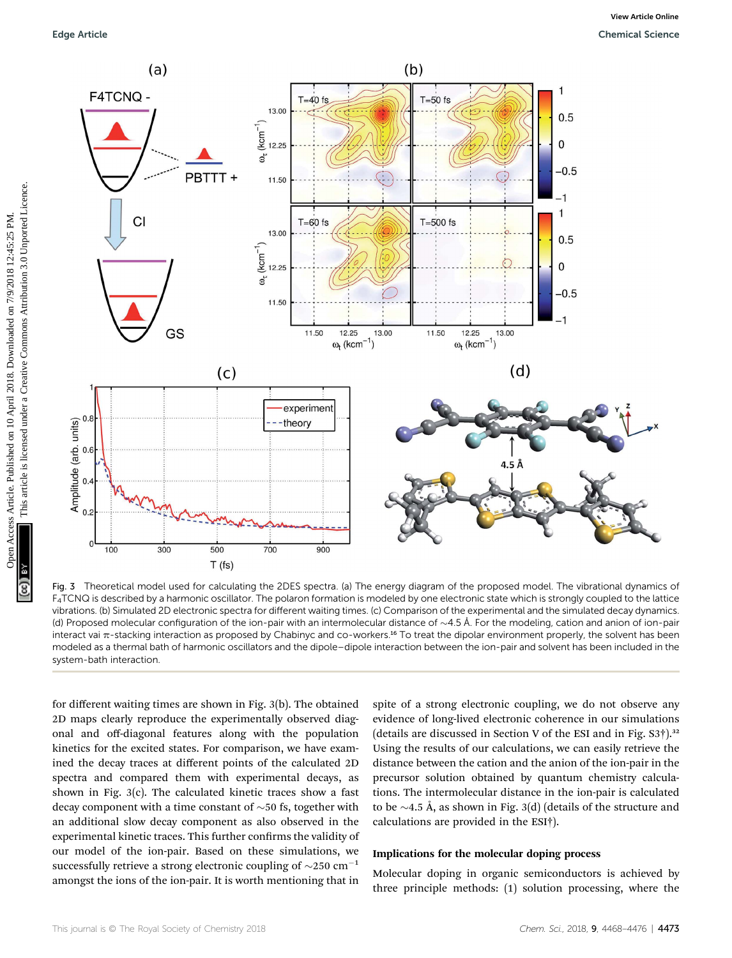

Fig. 3 Theoretical model used for calculating the 2DES spectra. (a) The energy diagram of the proposed model. The vibrational dynamics of F4TCNQ is described by a harmonic oscillator. The polaron formation is modeled by one electronic state which is strongly coupled to the lattice vibrations. (b) Simulated 2D electronic spectra for different waiting times. (c) Comparison of the experimental and the simulated decay dynamics. (d) Proposed molecular configuration of the ion-pair with an intermolecular distance of  $\sim$ 4.5 Å. For the modeling, cation and anion of ion-pair interact vai  $\pi$ -stacking interaction as proposed by Chabinyc and co-workers.<sup>16</sup> To treat the dipolar environment properly, the solvent has been modeled as a thermal bath of harmonic oscillators and the dipole–dipole interaction between the ion-pair and solvent has been included in the system-bath interaction.

for different waiting times are shown in Fig. 3(b). The obtained 2D maps clearly reproduce the experimentally observed diagonal and off-diagonal features along with the population kinetics for the excited states. For comparison, we have examined the decay traces at different points of the calculated 2D spectra and compared them with experimental decays, as shown in Fig. 3(c). The calculated kinetic traces show a fast decay component with a time constant of  $\sim$  50 fs, together with an additional slow decay component as also observed in the experimental kinetic traces. This further confirms the validity of our model of the ion-pair. Based on these simulations, we successfully retrieve a strong electronic coupling of  $\sim$ 250 cm<sup>-1</sup> amongst the ions of the ion-pair. It is worth mentioning that in

spite of a strong electronic coupling, we do not observe any evidence of long-lived electronic coherence in our simulations (details are discussed in Section V of the ESI and in Fig.  $S3\dagger$ ).<sup>32</sup> Using the results of our calculations, we can easily retrieve the distance between the cation and the anion of the ion-pair in the precursor solution obtained by quantum chemistry calculations. The intermolecular distance in the ion-pair is calculated to be  $\sim$ 4.5 Å, as shown in Fig. 3(d) (details of the structure and calculations are provided in the ESI†).

#### Implications for the molecular doping process

Molecular doping in organic semiconductors is achieved by three principle methods: (1) solution processing, where the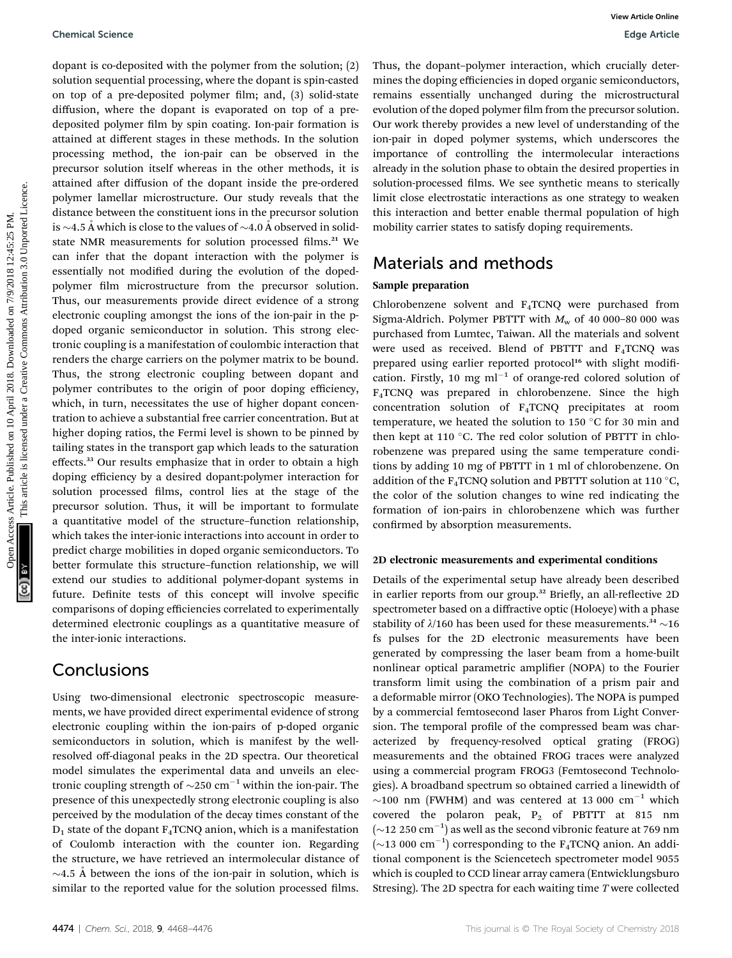dopant is co-deposited with the polymer from the solution; (2) solution sequential processing, where the dopant is spin-casted on top of a pre-deposited polymer film; and, (3) solid-state diffusion, where the dopant is evaporated on top of a predeposited polymer film by spin coating. Ion-pair formation is attained at different stages in these methods. In the solution processing method, the ion-pair can be observed in the precursor solution itself whereas in the other methods, it is attained after diffusion of the dopant inside the pre-ordered polymer lamellar microstructure. Our study reveals that the distance between the constituent ions in the precursor solution is  $\sim$ 4.5 Å which is close to the values of  $\sim$ 4.0 Å observed in solidstate NMR measurements for solution processed films.<sup>21</sup> We can infer that the dopant interaction with the polymer is essentially not modified during the evolution of the dopedpolymer film microstructure from the precursor solution. Thus, our measurements provide direct evidence of a strong electronic coupling amongst the ions of the ion-pair in the pdoped organic semiconductor in solution. This strong electronic coupling is a manifestation of coulombic interaction that renders the charge carriers on the polymer matrix to be bound. Thus, the strong electronic coupling between dopant and polymer contributes to the origin of poor doping efficiency, which, in turn, necessitates the use of higher dopant concentration to achieve a substantial free carrier concentration. But at higher doping ratios, the Fermi level is shown to be pinned by tailing states in the transport gap which leads to the saturation effects.<sup>33</sup> Our results emphasize that in order to obtain a high doping efficiency by a desired dopant:polymer interaction for solution processed films, control lies at the stage of the precursor solution. Thus, it will be important to formulate a quantitative model of the structure–function relationship, which takes the inter-ionic interactions into account in order to predict charge mobilities in doped organic semiconductors. To better formulate this structure–function relationship, we will extend our studies to additional polymer-dopant systems in future. Definite tests of this concept will involve specific comparisons of doping efficiencies correlated to experimentally determined electronic couplings as a quantitative measure of the inter-ionic interactions. Chemical Science<br>
Departue Concepts Article. Downloaded on 10 April 2018. Downloaded on 10 April 2018. Downloaded on 10 April 2018. Downloaded on 10 April 2018. Downloaded the access Article is licensed under the common a

## Conclusions

Using two-dimensional electronic spectroscopic measurements, we have provided direct experimental evidence of strong electronic coupling within the ion-pairs of p-doped organic semiconductors in solution, which is manifest by the wellresolved off-diagonal peaks in the 2D spectra. Our theoretical model simulates the experimental data and unveils an electronic coupling strength of  $\sim$ 250 cm<sup>-1</sup> within the ion-pair. The presence of this unexpectedly strong electronic coupling is also perceived by the modulation of the decay times constant of the  $D_1$  state of the dopant  $F_4TCNQ$  anion, which is a manifestation of Coulomb interaction with the counter ion. Regarding the structure, we have retrieved an intermolecular distance of  $\sim$ 4.5 Å between the ions of the ion-pair in solution, which is similar to the reported value for the solution processed films.

Thus, the dopant–polymer interaction, which crucially determines the doping efficiencies in doped organic semiconductors, remains essentially unchanged during the microstructural evolution of the doped polymer film from the precursor solution. Our work thereby provides a new level of understanding of the ion-pair in doped polymer systems, which underscores the importance of controlling the intermolecular interactions already in the solution phase to obtain the desired properties in solution-processed films. We see synthetic means to sterically limit close electrostatic interactions as one strategy to weaken this interaction and better enable thermal population of high mobility carrier states to satisfy doping requirements.

## Materials and methods

### Sample preparation

Chlorobenzene solvent and F4TCNQ were purchased from Sigma-Aldrich. Polymer PBTTT with  $M_w$  of 40 000–80 000 was purchased from Lumtec, Taiwan. All the materials and solvent were used as received. Blend of PBTTT and F4TCNQ was prepared using earlier reported protocol<sup>16</sup> with slight modification. Firstly, 10 mg  $ml^{-1}$  of orange-red colored solution of F4TCNQ was prepared in chlorobenzene. Since the high concentration solution of F4TCNQ precipitates at room temperature, we heated the solution to 150  $\degree$ C for 30 min and then kept at 110  $\degree$ C. The red color solution of PBTTT in chlorobenzene was prepared using the same temperature conditions by adding 10 mg of PBTTT in 1 ml of chlorobenzene. On addition of the  $F_4$ TCNQ solution and PBTTT solution at 110 °C, the color of the solution changes to wine red indicating the formation of ion-pairs in chlorobenzene which was further confirmed by absorption measurements.

### 2D electronic measurements and experimental conditions

Details of the experimental setup have already been described in earlier reports from our group.<sup>32</sup> Briefly, an all-reflective 2D spectrometer based on a diffractive optic (Holoeye) with a phase stability of  $\lambda/160$  has been used for these measurements.<sup>34</sup>  $\sim$ 16 fs pulses for the 2D electronic measurements have been generated by compressing the laser beam from a home-built nonlinear optical parametric amplifier (NOPA) to the Fourier transform limit using the combination of a prism pair and a deformable mirror (OKO Technologies). The NOPA is pumped by a commercial femtosecond laser Pharos from Light Conversion. The temporal profile of the compressed beam was characterized by frequency-resolved optical grating (FROG) measurements and the obtained FROG traces were analyzed using a commercial program FROG3 (Femtosecond Technologies). A broadband spectrum so obtained carried a linewidth of  $\sim$ 100 nm (FWHM) and was centered at 13 000 cm<sup>-1</sup> which covered the polaron peak,  $P_2$  of PBTTT at 815 nm  $(\sim$ 12 250 cm<sup>-1</sup>) as well as the second vibronic feature at 769 nm  $(\sim 13\ 000\ \text{cm}^{-1})$  corresponding to the F<sub>4</sub>TCNQ anion. An additional component is the Sciencetech spectrometer model 9055 which is coupled to CCD linear array camera (Entwicklungsburo Stresing). The 2D spectra for each waiting time T were collected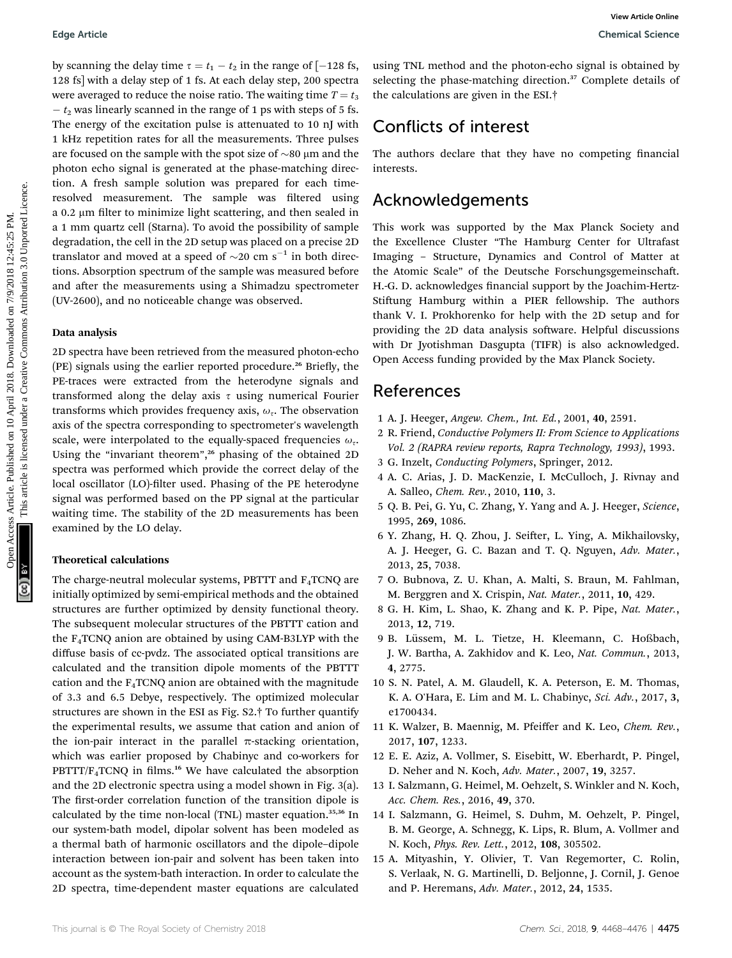by scanning the delay time  $\tau = t_1 - t_2$  in the range of [-128 fs, 128 fs] with a delay step of 1 fs. At each delay step, 200 spectra were averaged to reduce the noise ratio. The waiting time  $T = t_3$  $- t_2$  was linearly scanned in the range of 1 ps with steps of 5 fs. The energy of the excitation pulse is attenuated to 10 nJ with 1 kHz repetition rates for all the measurements. Three pulses are focused on the sample with the spot size of  $\sim$ 80  $\mu$ m and the photon echo signal is generated at the phase-matching direction. A fresh sample solution was prepared for each timeresolved measurement. The sample was filtered using a  $0.2 \mu$ m filter to minimize light scattering, and then sealed in a 1 mm quartz cell (Starna). To avoid the possibility of sample degradation, the cell in the 2D setup was placed on a precise 2D translator and moved at a speed of  $\sim$ 20 cm s<sup>-1</sup> in both directions. Absorption spectrum of the sample was measured before and after the measurements using a Shimadzu spectrometer (UV-2600), and no noticeable change was observed. Equise Article<br>
Up scanning the clays type  $t = t$ ,  $t$  in the magne of  $t = 18$ , as they will be arbitrary the common access the set of the set of the set of the set of the set of the set of the set of the set of the set of

#### Data analysis

2D spectra have been retrieved from the measured photon-echo (PE) signals using the earlier reported procedure.<sup>26</sup> Briefly, the PE-traces were extracted from the heterodyne signals and transformed along the delay axis  $\tau$  using numerical Fourier transforms which provides frequency axis,  $\omega_{\tau}$ . The observation axis of the spectra corresponding to spectrometer's wavelength scale, were interpolated to the equally-spaced frequencies  $\omega_{\tau}$ . Using the "invariant theorem", <sup>26</sup> phasing of the obtained 2D spectra was performed which provide the correct delay of the local oscillator (LO)-filter used. Phasing of the PE heterodyne signal was performed based on the PP signal at the particular waiting time. The stability of the 2D measurements has been examined by the LO delay.

### Theoretical calculations

The charge-neutral molecular systems, PBTTT and F4TCNQ are initially optimized by semi-empirical methods and the obtained structures are further optimized by density functional theory. The subsequent molecular structures of the PBTTT cation and the F4TCNQ anion are obtained by using CAM-B3LYP with the diffuse basis of cc-pvdz. The associated optical transitions are calculated and the transition dipole moments of the PBTTT cation and the  $F_4TCNQ$  anion are obtained with the magnitude of 3.3 and 6.5 Debye, respectively. The optimized molecular structures are shown in the ESI as Fig. S2.† To further quantify the experimental results, we assume that cation and anion of the ion-pair interact in the parallel  $\pi$ -stacking orientation, which was earlier proposed by Chabinyc and co-workers for  $PBTTT/F_4TCNQ$  in films.<sup>16</sup> We have calculated the absorption and the 2D electronic spectra using a model shown in Fig. 3(a). The first-order correlation function of the transition dipole is calculated by the time non-local (TNL) master equation.35,36 In our system-bath model, dipolar solvent has been modeled as a thermal bath of harmonic oscillators and the dipole–dipole interaction between ion-pair and solvent has been taken into account as the system-bath interaction. In order to calculate the 2D spectra, time-dependent master equations are calculated

using TNL method and the photon-echo signal is obtained by selecting the phase-matching direction.<sup>37</sup> Complete details of the calculations are given in the ESI.†

## Conflicts of interest

The authors declare that they have no competing financial interests.

## Acknowledgements

This work was supported by the Max Planck Society and the Excellence Cluster "The Hamburg Center for Ultrafast Imaging – Structure, Dynamics and Control of Matter at the Atomic Scale" of the Deutsche Forschungsgemeinschaft. H.-G. D. acknowledges financial support by the Joachim-Hertz-Stiftung Hamburg within a PIER fellowship. The authors thank V. I. Prokhorenko for help with the 2D setup and for providing the 2D data analysis software. Helpful discussions with Dr Jyotishman Dasgupta (TIFR) is also acknowledged. Open Access funding provided by the Max Planck Society.

## References

- 1 A. J. Heeger, Angew. Chem., Int. Ed., 2001, 40, 2591.
- 2 R. Friend, Conductive Polymers II: From Science to Applications Vol. 2 (RAPRA review reports, Rapra Technology, 1993), 1993.
- 3 G. Inzelt, Conducting Polymers, Springer, 2012.
- 4 A. C. Arias, J. D. MacKenzie, I. McCulloch, J. Rivnay and A. Salleo, Chem. Rev., 2010, 110, 3.
- 5 Q. B. Pei, G. Yu, C. Zhang, Y. Yang and A. J. Heeger, Science, 1995, 269, 1086.
- 6 Y. Zhang, H. Q. Zhou, J. Seifter, L. Ying, A. Mikhailovsky, A. J. Heeger, G. C. Bazan and T. Q. Nguyen, Adv. Mater., 2013, 25, 7038.
- 7 O. Bubnova, Z. U. Khan, A. Malti, S. Braun, M. Fahlman, M. Berggren and X. Crispin, Nat. Mater., 2011, 10, 429.
- 8 G. H. Kim, L. Shao, K. Zhang and K. P. Pipe, Nat. Mater., 2013, 12, 719.
- 9 B. Lüssem, M. L. Tietze, H. Kleemann, C. Hoßbach, J. W. Bartha, A. Zakhidov and K. Leo, Nat. Commun., 2013, 4, 2775.
- 10 S. N. Patel, A. M. Glaudell, K. A. Peterson, E. M. Thomas, K. A. O'Hara, E. Lim and M. L. Chabinyc, Sci. Adv., 2017, 3, e1700434.
- 11 K. Walzer, B. Maennig, M. Pfeiffer and K. Leo, Chem. Rev., 2017, 107, 1233.
- 12 E. E. Aziz, A. Vollmer, S. Eisebitt, W. Eberhardt, P. Pingel, D. Neher and N. Koch, Adv. Mater., 2007, 19, 3257.
- 13 I. Salzmann, G. Heimel, M. Oehzelt, S. Winkler and N. Koch, Acc. Chem. Res., 2016, 49, 370.
- 14 I. Salzmann, G. Heimel, S. Duhm, M. Oehzelt, P. Pingel, B. M. George, A. Schnegg, K. Lips, R. Blum, A. Vollmer and N. Koch, Phys. Rev. Lett., 2012, 108, 305502.
- 15 A. Mityashin, Y. Olivier, T. Van Regemorter, C. Rolin, S. Verlaak, N. G. Martinelli, D. Beljonne, J. Cornil, J. Genoe and P. Heremans, Adv. Mater., 2012, 24, 1535.